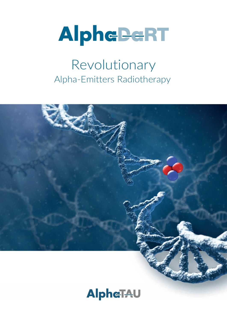

# Revolutionary Alpha-Emitters Radiotherapy



# **AlpheTAU**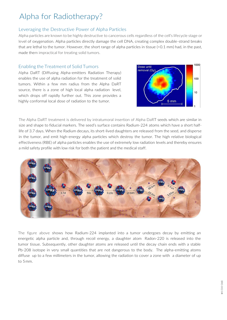# Alpha for Radiotherapy?

### Leveraging the Destructive Power of Alpha Particles

Alpha particles are known to be highly destructive to cancerous cells regardless of the cell's lifecycle stage or level of oxygenation. Alpha particles directly damage the cell DNA, creating complex double-strand breaks that are lethal to the tumor. However, the short range of alpha particles in tissue (<0.1 mm) had, in the past, made them impractical for treating solid tumors.

#### Enabling the Treatment of Solid Tumors

Alpha DaRT (Diffusing Alpha-emitters Radiation Therapy) enables the use of alpha radiation for the treatment of solid tumors. Within a few mm radius from the Alpha DaRT source, there is a zone of high local alpha radiation level, which drops off rapidly further out. This zone provides a highly conformal local dose of radiation to the tumor.



The Alpha DaRT treatment is delivered by intratumoral insertion of Alpha DaRT seeds which are similar in size and shape to fiducial markers. The seed's surface contains Radium-224 atoms which have a short halflife of 3.7 days. When the Radium decays, its short-lived daughters are released from the seed, and disperse in the tumor, and emit high-energy alpha particles which destroy the tumor. The high relative biological effectiveness (RBE) of alpha particles enables the use of extremely low radiation levels and thereby ensures a mild safety profile with low risk for both the patient and the medical staff.



The figure above shows how Radium-224 implanted into a tumor undergoes decay by emitting an energetic alpha particle and, through recoil energy, a daughter atom Radon-220 is released into the tumor tissue. Subsequently, other daughter atoms are released until the decay chain ends with a stable Pb-208 isotope in very small quantities that are not dangerous to the body. The alpha-emitting atoms diffuse up to a few millimeters in the tumor, allowing the radiation to cover a zone with a diameter of up to 5mm.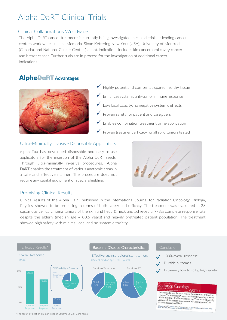# Alpha DaRT Clinical Trials

#### Clinical Collaborations Worldwide

The Alpha DaRT cancer treatment is currently being investigated in clinical trials at leading cancer centers worldwide, such as Memorial Sloan Kettering New York (USA), University of Montreal (Canada), and National Cancer Center (Japan). Indications include skin cancer, oral cavity cancer and breast cancer. Further trials are in process for the investigation of additional cancer indications.

### **AlpheDeRT** Advantages



✓ Highly potent and conformal, spares healthy tissue

- ✓ Enhancessystemicanti-tumorimmuneresponse
- $\checkmark$  Low local toxicity, no negative systemic effects
- $\blacktriangledown$  Proven safety for patient and caregivers
- $\checkmark$  Enables combination treatment or re-application
- $\checkmark$  Proven treatment efficacy for all solid tumors tested

#### Ultra-Minimally Invasive Disposable Applicators

Alpha Tau has developed disposable and easy-to-use applicators for the insertion of the Alpha DaRT seeds. Through ultra-minimally invasive procedures, Alpha DaRT enables the treatment of various anatomic areas in a safe and effective manner. The procedure does not require any capital equipment or special shielding.



#### Promising Clinical Results

Clinical results of the Alpha DaRT published in the International Journal for Radiation Oncology Biology, Physics, showed to be promising in terms of both safety and efficacy. The treatment was evaluated in 28 squamous cell carcinoma tumors of the skin and head & neck and achieved a >78% complete response rate despite the elderly (median age = 80.5 years) and heavily pretreated patient population. The treatment showed high safety with minimal local and no systemic toxicity.



\*The result of First-In-Human Trial of Squamous Cell Carcinoma